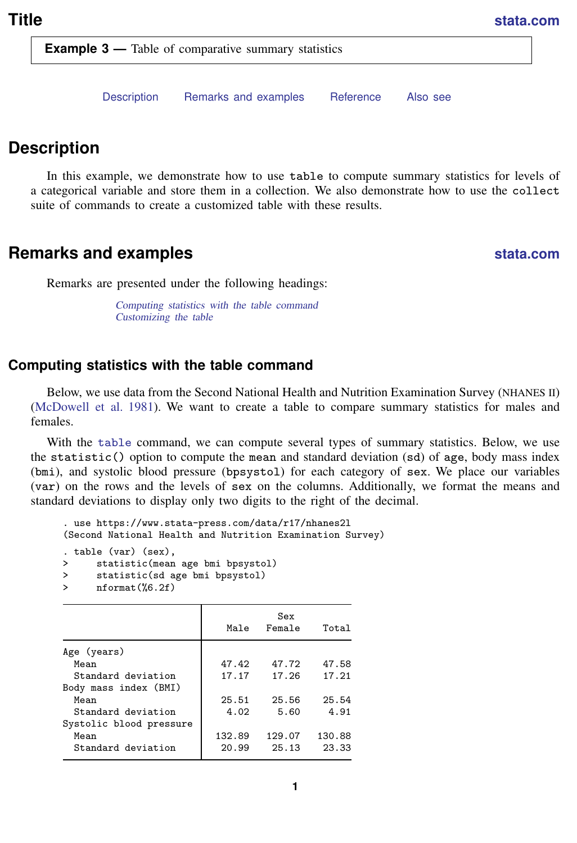<span id="page-0-3"></span>**Example 3** — Table of comparative summary statistics

[Description](#page-0-0) [Remarks and examples](#page-0-1) [Reference](#page-5-0) [Also see](#page-5-1)

# <span id="page-0-0"></span>**Description**

<span id="page-0-1"></span>In this example, we demonstrate how to use table to compute summary statistics for levels of a categorical variable and store them in a collection. We also demonstrate how to use the collect suite of commands to create a customized table with these results.

### **Remarks and examples [stata.com](http://stata.com)**

Remarks are presented under the following headings:

[Computing statistics with the table command](#page-0-2) [Customizing the table](#page-1-0)

### <span id="page-0-2"></span>**Computing statistics with the table command**

Below, we use data from the Second National Health and Nutrition Examination Survey (NHANES II) [\(McDowell et al.](#page-5-2) [1981](#page-5-2)). We want to create a table to compare summary statistics for males and females.

With the [table](https://www.stata.com/manuals/rtable.pdf#rtable) command, we can compute several types of summary statistics. Below, we use the statistic() option to compute the mean and standard deviation (sd) of age, body mass index (bmi), and systolic blood pressure (bpsystol) for each category of sex. We place our variables (var) on the rows and the levels of sex on the columns. Additionally, we format the means and standard deviations to display only two digits to the right of the decimal.

```
. use https://www.stata-press.com/data/r17/nhanes2l
(Second National Health and Nutrition Examination Survey)
. table (var) (sex),
> statistic(mean age bmi bpsystol)
> statistic(sd age bmi bpsystol)
> nformat(%6.2f)
```

|                         | Male   | Sex<br>Female | Total  |
|-------------------------|--------|---------------|--------|
| Age (years)             |        |               |        |
| Mean                    | 47.42  | 47.72         | 47.58  |
| Standard deviation      | 17.17  | 17.26         | 17.21  |
| Body mass index (BMI)   |        |               |        |
| Mean                    | 25.51  | 25.56         | 25.54  |
| Standard deviation      | 4.02   | 5.60          | 4.91   |
| Systolic blood pressure |        |               |        |
| Mean                    | 132.89 | 129.07        | 130.88 |
| Standard deviation      | 20.99  | 25.13         | 23.33  |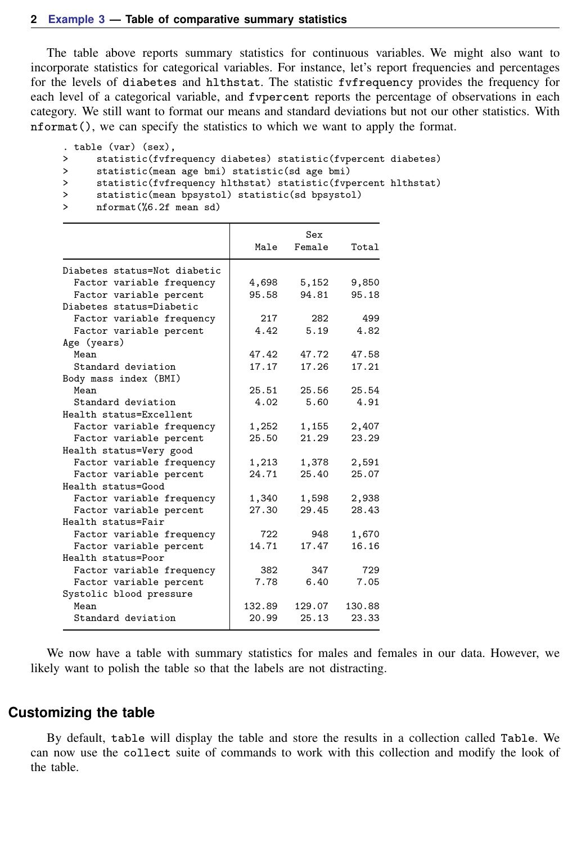The table above reports summary statistics for continuous variables. We might also want to incorporate statistics for categorical variables. For instance, let's report frequencies and percentages for the levels of diabetes and hlthstat. The statistic fvfrequency provides the frequency for each level of a categorical variable, and fvpercent reports the percentage of observations in each category. We still want to format our means and standard deviations but not our other statistics. With nformat(), we can specify the statistics to which we want to apply the format.

```
. table (var) (sex),
```

```
> statistic(fvfrequency diabetes) statistic(fvpercent diabetes)
```

```
> statistic(mean age bmi) statistic(sd age bmi)<br>> statistic(fufrequency hlthstat) statistic(fup
```

```
statistic(fvfrequency hlthstat) statistic(fvpercent hlthstat)
```

```
> statistic(mean bpsystol) statistic(sd bpsystol)<br>> nformat(%6.2f mean sd)
```
> nformat(%6.2f mean sd)

|                              | Male   | Sex<br>Female | Total  |
|------------------------------|--------|---------------|--------|
| Diabetes status=Not diabetic |        |               |        |
| Factor variable frequency    | 4,698  | 5,152         | 9,850  |
| Factor variable percent      | 95.58  | 94.81         | 95.18  |
| Diabetes status=Diabetic     |        |               |        |
| Factor variable frequency    | 217    | 282           | 499    |
| Factor variable percent      | 4.42   | 5.19          | 4.82   |
| Age (years)                  |        |               |        |
| Mean                         | 47.42  | 47.72         | 47.58  |
| Standard deviation           | 17.17  | 17.26         | 17.21  |
| Body mass index (BMI)        |        |               |        |
| Mean                         | 25.51  | 25.56         | 25.54  |
| Standard deviation           | 4.02   | 5.60          | 4.91   |
| Health status=Excellent      |        |               |        |
| Factor variable frequency    | 1,252  | 1,155         | 2,407  |
| Factor variable percent      | 25.50  | 21.29         | 23.29  |
| Health status=Very good      |        |               |        |
| Factor variable frequency    | 1,213  | 1,378         | 2,591  |
| Factor variable percent      | 24.71  | 25.40         | 25.07  |
| Health status=Good           |        |               |        |
| Factor variable frequency    | 1,340  | 1,598         | 2,938  |
| Factor variable percent      | 27.30  | 29.45         | 28.43  |
| Health status=Fair           |        |               |        |
| Factor variable frequency    | 722    | 948           | 1,670  |
| Factor variable percent      | 14.71  | 17.47         | 16.16  |
| Health status=Poor           |        |               |        |
| Factor variable frequency    | 382    | 347           | 729    |
| Factor variable percent      | 7.78   | 6.40          | 7.05   |
| Systolic blood pressure      |        |               |        |
| Mean                         | 132.89 | 129.07        | 130.88 |
| Standard deviation           | 20.99  | 25.13         | 23.33  |

<span id="page-1-0"></span>We now have a table with summary statistics for males and females in our data. However, we likely want to polish the table so that the labels are not distracting.

#### **Customizing the table**

By default, table will display the table and store the results in a collection called Table. We can now use the collect suite of commands to work with this collection and modify the look of the table.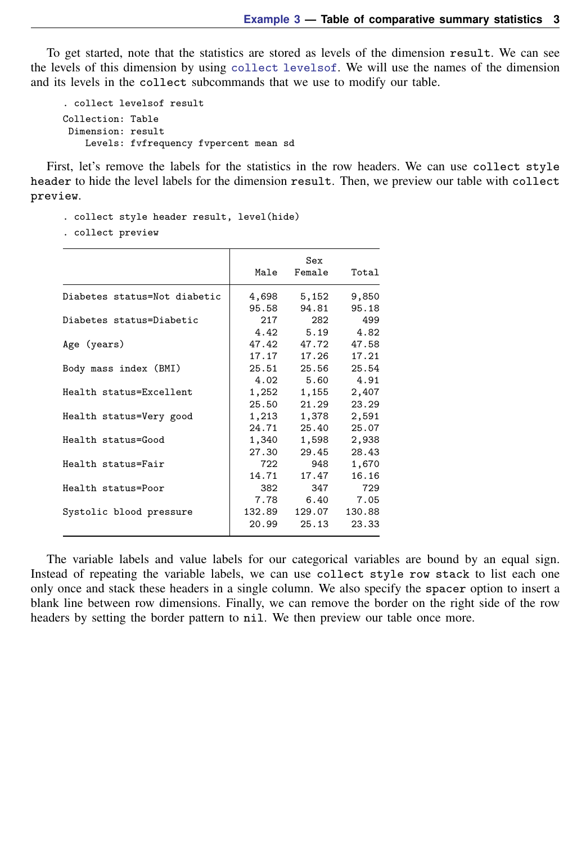To get started, note that the statistics are stored as levels of the dimension result. We can see the levels of this dimension by using [collect levelsof](https://www.stata.com/manuals/tablescollectlevelsof.pdf#tablescollectlevelsof). We will use the names of the dimension and its levels in the collect subcommands that we use to modify our table.

```
. collect levelsof result
Collection: Table
 Dimension: result
    Levels: fvfrequency fvpercent mean sd
```
First, let's remove the labels for the statistics in the row headers. We can use collect style header to hide the level labels for the dimension result. Then, we preview our table with collect preview.

```
. collect style header result, level(hide)
```
. collect preview

|                              | Male   | Sex<br>Female | Total  |
|------------------------------|--------|---------------|--------|
| Diabetes status=Not diabetic | 4,698  | 5,152         | 9,850  |
|                              | 95.58  | 94.81         | 95.18  |
| Diabetes status=Diabetic     | 217    | 282           | 499    |
|                              | 4.42   | 5.19          | 4.82   |
| Age (years)                  | 47.42  | 47.72         | 47.58  |
|                              | 17.17  | 17.26         | 17.21  |
| Body mass index (BMI)        | 25.51  | 25.56         | 25.54  |
|                              | 4.02   | 5.60          | 4.91   |
| Health status=Excellent      | 1,252  | 1,155         | 2,407  |
|                              | 25.50  | 21.29         | 23.29  |
| Health status=Very good      | 1,213  | 1,378         | 2,591  |
|                              | 24.71  | 25.40         | 25.07  |
| Health status=Good           | 1,340  | 1,598         | 2,938  |
|                              | 27.30  | 29.45         | 28.43  |
| Health status=Fair           | 722    | 948           | 1,670  |
|                              | 14.71  | 17.47         | 16.16  |
| Health status=Poor           | 382    | 347           | 729    |
|                              | 7.78   | 6.40          | 7.05   |
| Systolic blood pressure      | 132.89 | 129.07        | 130.88 |
|                              | 20.99  | 25.13         | 23.33  |

The variable labels and value labels for our categorical variables are bound by an equal sign. Instead of repeating the variable labels, we can use collect style row stack to list each one only once and stack these headers in a single column. We also specify the spacer option to insert a blank line between row dimensions. Finally, we can remove the border on the right side of the row headers by setting the border pattern to nil. We then preview our table once more.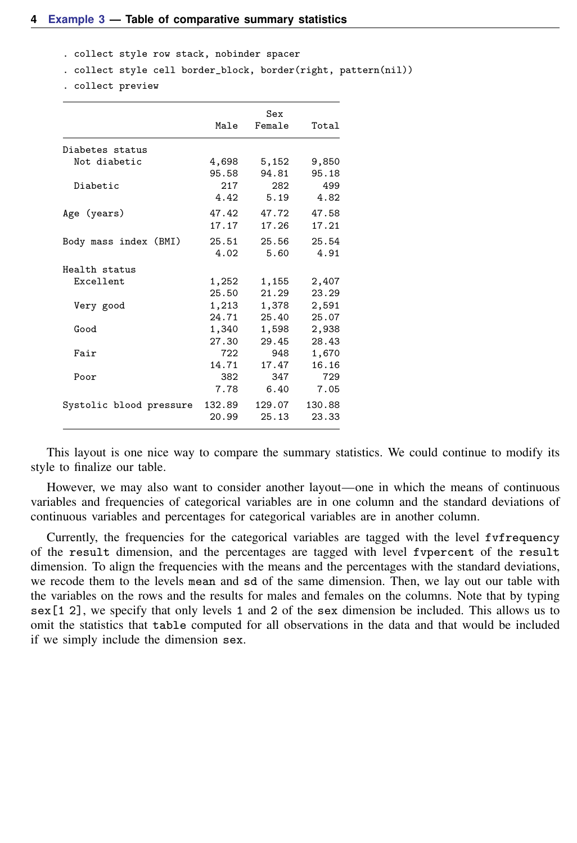- . collect style row stack, nobinder spacer
- . collect style cell border\_block, border(right, pattern(nil))
- . collect preview

|                         | Male   | Sex<br>Female | Total  |
|-------------------------|--------|---------------|--------|
| Diabetes status         |        |               |        |
| Not diabetic            | 4,698  | 5,152         | 9,850  |
|                         | 95.58  | 94.81         | 95.18  |
| Diabetic                | 217    | 282           | 499    |
|                         | 4.42   | 5.19          | 4.82   |
| Age (years)             | 47.42  | 47.72         | 47.58  |
|                         | 17.17  | 17.26         | 17.21  |
| Body mass index (BMI)   | 25.51  | 25.56         | 25.54  |
|                         | 4.02   | 5.60          | 4.91   |
| Health status           |        |               |        |
| Excellent               | 1,252  | 1,155         | 2,407  |
|                         | 25.50  | 21.29         | 23.29  |
| Very good               | 1,213  | 1,378         | 2,591  |
|                         | 24.71  | 25.40         | 25.07  |
| Good                    | 1,340  | 1,598         | 2,938  |
|                         | 27.30  | 29.45         | 28.43  |
| Fair                    | 722    | 948           | 1,670  |
|                         | 14.71  | 17.47         | 16.16  |
| Poor                    | 382    | 347           | 729    |
|                         | 7.78   | 6.40          | 7.05   |
| Systolic blood pressure | 132.89 | 129.07        | 130.88 |
|                         | 20.99  | 25.13         | 23.33  |

This layout is one nice way to compare the summary statistics. We could continue to modify its style to finalize our table.

However, we may also want to consider another layout—one in which the means of continuous variables and frequencies of categorical variables are in one column and the standard deviations of continuous variables and percentages for categorical variables are in another column.

Currently, the frequencies for the categorical variables are tagged with the level fvfrequency of the result dimension, and the percentages are tagged with level fvpercent of the result dimension. To align the frequencies with the means and the percentages with the standard deviations, we recode them to the levels mean and sd of the same dimension. Then, we lay out our table with the variables on the rows and the results for males and females on the columns. Note that by typing sex[1 2], we specify that only levels 1 and 2 of the sex dimension be included. This allows us to omit the statistics that table computed for all observations in the data and that would be included if we simply include the dimension sex.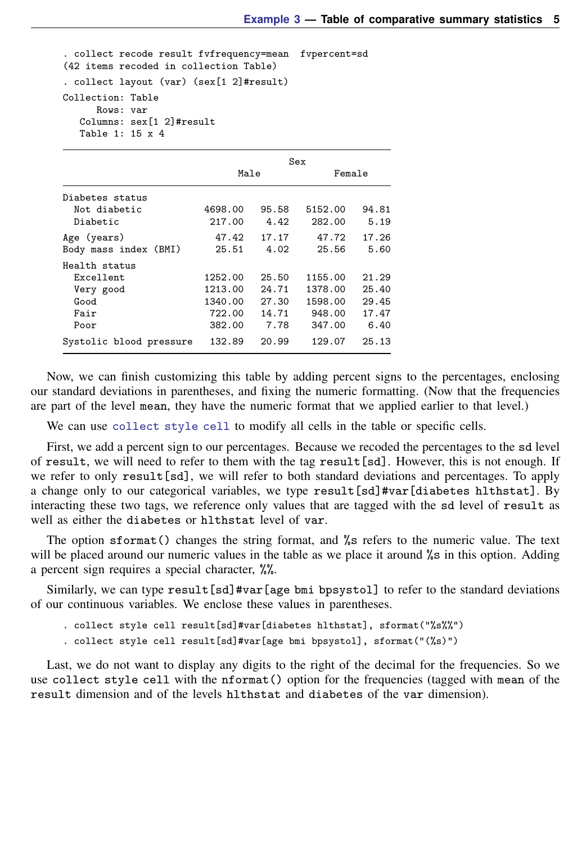. collect recode result fvfrequency=mean fvpercent=sd (42 items recoded in collection Table) . collect layout (var) (sex[1 2]#result) Collection: Table Rows: var Columns: sex[1 2]#result Table 1: 15 x 4

|                                                                 | Sex                                               |                                          |                                                   |                                          |
|-----------------------------------------------------------------|---------------------------------------------------|------------------------------------------|---------------------------------------------------|------------------------------------------|
|                                                                 | Male                                              |                                          | Female                                            |                                          |
| Diabetes status<br>Not diabetic<br>Diabetic                     | 4698.00<br>217.00                                 | 95.58<br>4.42                            | 5152.00<br>282.00                                 | 94.81<br>5.19                            |
| Age (years)<br>Body mass index (BMI)                            | 47.42<br>25.51                                    | 17.17<br>4.02                            | 47.72<br>25.56                                    | 17.26<br>5.60                            |
| Health status<br>Excellent<br>Very good<br>Good<br>Fair<br>Poor | 1252.00<br>1213.00<br>1340.00<br>722.00<br>382.00 | 25.50<br>24.71<br>27.30<br>14.71<br>7.78 | 1155.00<br>1378.00<br>1598.00<br>948.00<br>347.00 | 21.29<br>25.40<br>29.45<br>17.47<br>6.40 |
| Systolic blood pressure                                         | 132.89                                            | 20.99                                    | 129.07                                            | 25.13                                    |

Now, we can finish customizing this table by adding percent signs to the percentages, enclosing our standard deviations in parentheses, and fixing the numeric formatting. (Now that the frequencies are part of the level mean, they have the numeric format that we applied earlier to that level.)

We can use [collect style cell](https://www.stata.com/manuals/tablescollectstylecell.pdf#tablescollectstylecell) to modify all cells in the table or specific cells.

First, we add a percent sign to our percentages. Because we recoded the percentages to the sd level of result, we will need to refer to them with the tag result[sd]. However, this is not enough. If we refer to only result [sd], we will refer to both standard deviations and percentages. To apply a change only to our categorical variables, we type result [sd]#var [diabetes hlthstat]. By interacting these two tags, we reference only values that are tagged with the sd level of result as well as either the diabetes or hlthstat level of var.

The option sformat() changes the string format, and %s refers to the numeric value. The text will be placed around our numeric values in the table as we place it around %s in this option. Adding a percent sign requires a special character, %%.

Similarly, we can type result[sd]#var[age bmi bpsystol] to refer to the standard deviations of our continuous variables. We enclose these values in parentheses.

. collect style cell result[sd]#var[diabetes hlthstat], sformat("%s%%")

. collect style cell result[sd]#var[age bmi bpsystol], sformat("(%s)")

Last, we do not want to display any digits to the right of the decimal for the frequencies. So we use collect style cell with the nformat() option for the frequencies (tagged with mean of the result dimension and of the levels hlthstat and diabetes of the var dimension).